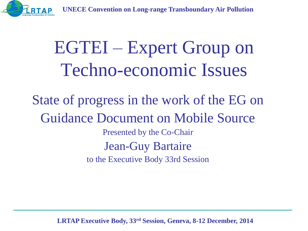



# EGTEI – Expert Group on Techno-economic Issues

State of progress in the work of the EG on Guidance Document on Mobile Source Presented by the Co-Chair Jean-Guy Bartaire to the Executive Body 33rd Session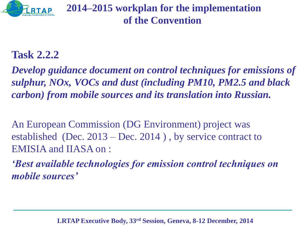

**2014–2015 workplan for the implementation of the Convention**

#### **Task 2.2.2**

*Develop guidance document on control techniques for emissions of sulphur, NOx, VOCs and dust (including PM10, PM2.5 and black carbon) from mobile sources and its translation into Russian.* 

An European Commission (DG Environment) project was established (Dec. 2013 – Dec. 2014 ) , by service contract to EMISIA and IIASA on :

*'Best available technologies for emission control techniques on mobile sources'*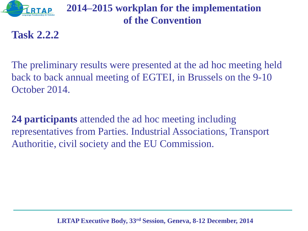

#### **2014–2015 workplan for the implementation of the Convention**

**Task 2.2.2**

The preliminary results were presented at the ad hoc meeting held back to back annual meeting of EGTEI, in Brussels on the 9-10 October 2014.

**24 participants** attended the ad hoc meeting including representatives from Parties. Industrial Associations, Transport Authoritie, civil society and the EU Commission.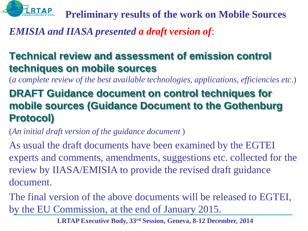

**Preliminary results of the work on Mobile Sources**

*EMISIA and IIASA presented a draft version of*:

### **Technical review and assessment of emission control techniques on mobile sources**

(*a complete review of the best available technologies, applications, efficiencies etc*.)

## **DRAFT Guidance document on control techniques for mobile sources (Guidance Document to the Gothenburg Protocol)**

(*An initial draft version of the guidance document* )

As usual the draft documents have been examined by the EGTEI experts and comments, amendments, suggestions etc. collected for the review by IIASA/EMISIA to provide the revised draft guidance document.

The final version of the above documents will be released to EGTEI, by the EU Commission, at the end of January 2015.

**LRTAP Executive Body, 33rd Session, Geneva, 8-12 December, 2014**